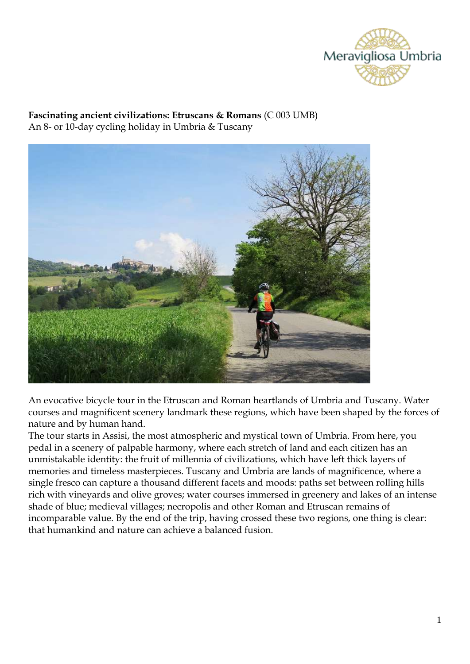

### **Fascinating ancient civilizations: Etruscans & Romans** (C 003 UMB) An 8- or 10-day cycling holiday in Umbria & Tuscany



An evocative bicycle tour in the Etruscan and Roman heartlands of Umbria and Tuscany. Water courses and magnificent scenery landmark these regions, which have been shaped by the forces of nature and by human hand.

The tour starts in Assisi, the most atmospheric and mystical town of Umbria. From here, you pedal in a scenery of palpable harmony, where each stretch of land and each citizen has an unmistakable identity: the fruit of millennia of civilizations, which have left thick layers of memories and timeless masterpieces. Tuscany and Umbria are lands of magnificence, where a single fresco can capture a thousand different facets and moods: paths set between rolling hills rich with vineyards and olive groves; water courses immersed in greenery and lakes of an intense shade of blue; medieval villages; necropolis and other Roman and Etruscan remains of incomparable value. By the end of the trip, having crossed these two regions, one thing is clear: that humankind and nature can achieve a balanced fusion.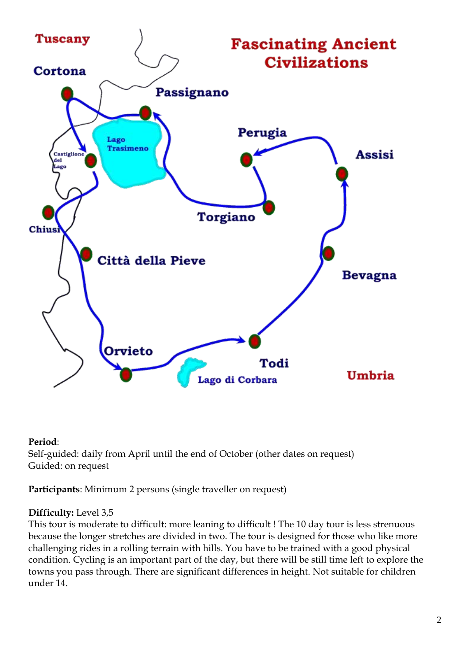

## **Period**:

Self-guided: daily from April until the end of October (other dates on request) Guided: on request

**Participants**: Minimum 2 persons (single traveller on request)

## **Difficulty:** Level 3,5

This tour is moderate to difficult: more leaning to difficult ! The 10 day tour is less strenuous because the longer stretches are divided in two. The tour is designed for those who like more challenging rides in a rolling terrain with hills. You have to be trained with a good physical condition. Cycling is an important part of the day, but there will be still time left to explore the towns you pass through. There are significant differences in height. Not suitable for children under 14.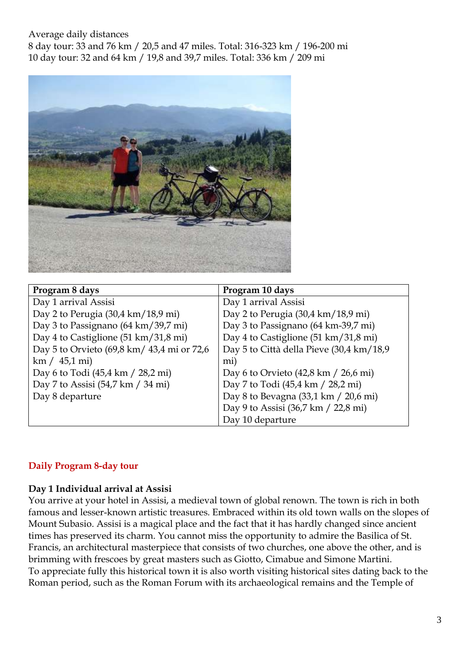### Average daily distances

8 day tour: 33 and 76 km / 20,5 and 47 miles. Total: 316-323 km / 196-200 mi 10 day tour: 32 and 64 km / 19,8 and 39,7 miles. Total: 336 km / 209 mi



| Program 8 days                             | Program 10 days                                        |  |
|--------------------------------------------|--------------------------------------------------------|--|
| Day 1 arrival Assisi                       | Day 1 arrival Assisi                                   |  |
| Day 2 to Perugia (30,4 km/18,9 mi)         | Day 2 to Perugia (30,4 km/18,9 mi)                     |  |
| Day 3 to Passignano (64 km/39,7 mi)        | Day 3 to Passignano (64 km-39,7 mi)                    |  |
| Day 4 to Castiglione (51 km/31,8 mi)       | Day 4 to Castiglione (51 km/31,8 mi)                   |  |
| Day 5 to Orvieto (69,8 km/ 43,4 mi or 72,6 | Day 5 to Città della Pieve (30,4 km/18,9)              |  |
| km / 45.1 mi                               | mi)                                                    |  |
| Day 6 to Todi (45,4 km / 28,2 mi)          | Day 6 to Orvieto $(42,8 \text{ km} / 26,6 \text{ mi})$ |  |
| Day 7 to Assisi (54,7 km / 34 mi)          | Day 7 to Todi (45,4 km / 28,2 mi)                      |  |
| Day 8 departure                            | Day 8 to Bevagna (33,1 km / 20,6 mi)                   |  |
|                                            | Day 9 to Assisi (36,7 km / 22,8 mi)                    |  |
|                                            | Day 10 departure                                       |  |

# **Daily Program 8-day tour**

## **Day 1 Individual arrival at Assisi**

You arrive at your hotel in Assisi, a medieval town of global renown. The town is rich in both famous and lesser-known artistic treasures. Embraced within its old town walls on the slopes of Mount Subasio. Assisi is a magical place and the fact that it has hardly changed since ancient times has preserved its charm. You cannot miss the opportunity to admire the Basilica of St. Francis, an architectural masterpiece that consists of two churches, one above the other, and is brimming with frescoes by great masters such as Giotto, Cimabue and Simone Martini. To appreciate fully this historical town it is also worth visiting historical sites dating back to the Roman period, such as the Roman Forum with its archaeological remains and the Temple of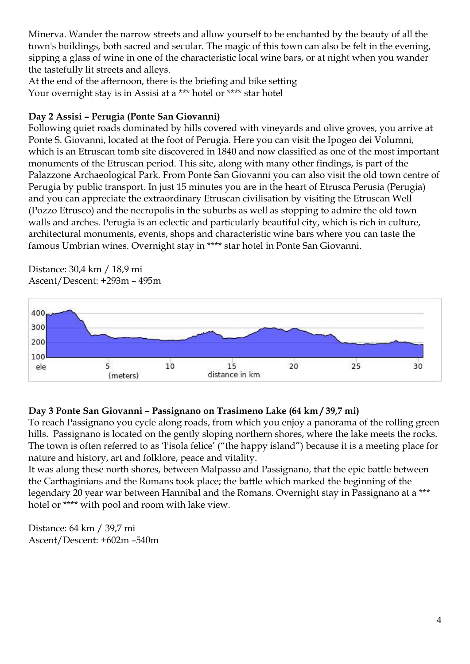Minerva. Wander the narrow streets and allow yourself to be enchanted by the beauty of all the town's buildings, both sacred and secular. The magic of this town can also be felt in the evening, sipping a glass of wine in one of the characteristic local wine bars, or at night when you wander the tastefully lit streets and alleys.

At the end of the afternoon, there is the briefing and bike setting Your overnight stay is in Assisi at a \*\*\* hotel or \*\*\*\* star hotel

## **Day 2 Assisi – Perugia (Ponte San Giovanni)**

Following quiet roads dominated by hills covered with vineyards and olive groves, you arrive at Ponte S. Giovanni, located at the foot of Perugia. Here you can visit the Ipogeo dei Volumni, which is an Etruscan tomb site discovered in 1840 and now classified as one of the most important monuments of the Etruscan period. This site, along with many other findings, is part of the Palazzone Archaeological Park. From Ponte San Giovanni you can also visit the old town centre of Perugia by public transport. In just 15 minutes you are in the heart of Etrusca Perusia (Perugia) and you can appreciate the extraordinary Etruscan civilisation by visiting the Etruscan Well (Pozzo Etrusco) and the necropolis in the suburbs as well as stopping to admire the old town walls and arches. Perugia is an eclectic and particularly beautiful city, which is rich in culture, architectural monuments, events, shops and characteristic wine bars where you can taste the famous Umbrian wines. Overnight stay in \*\*\*\* star hotel in Ponte San Giovanni.

Distance: 30,4 km / 18,9 mi Ascent/Descent: +293m – 495m



## **Day 3 Ponte San Giovanni – Passignano on Trasimeno Lake (64 km / 39,7 mi)**

To reach Passignano you cycle along roads, from which you enjoy a panorama of the rolling green hills. Passignano is located on the gently sloping northern shores, where the lake meets the rocks. The town is often referred to as 'l'isola felice' ("the happy island") because it is a meeting place for nature and history, art and folklore, peace and vitality.

It was along these north shores, between Malpasso and Passignano, that the epic battle between the Carthaginians and the Romans took place; the battle which marked the beginning of the legendary 20 year war between Hannibal and the Romans. Overnight stay in Passignano at a \*\*\* hotel or \*\*\*\* with pool and room with lake view.

Distance: 64 km / 39,7 mi Ascent/Descent: +602m –540m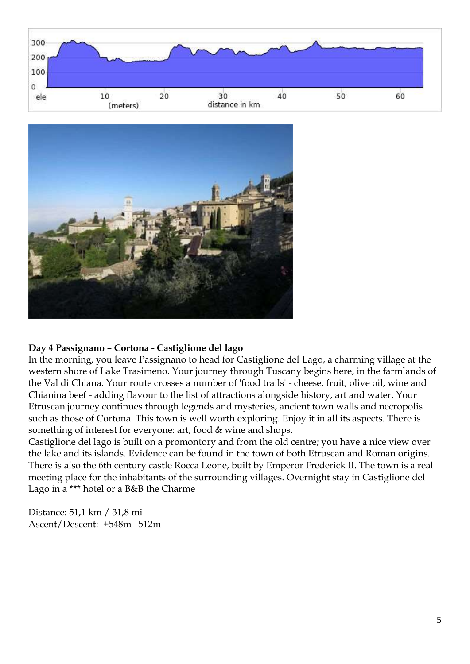



#### **Day 4 Passignano – Cortona - Castiglione del lago**

In the morning, you leave Passignano to head for Castiglione del Lago, a charming village at the western shore of Lake Trasimeno. Your journey through Tuscany begins here, in the farmlands of the Val di Chiana. Your route crosses a number of 'food trails' - cheese, fruit, olive oil, wine and Chianina beef - adding flavour to the list of attractions alongside history, art and water. Your Etruscan journey continues through legends and mysteries, ancient town walls and necropolis such as those of Cortona. This town is well worth exploring. Enjoy it in all its aspects. There is something of interest for everyone: art, food & wine and shops.

Castiglione del lago is built on a promontory and from the old centre; you have a nice view over the lake and its islands. Evidence can be found in the town of both Etruscan and Roman origins. There is also the 6th century castle Rocca Leone, built by Emperor Frederick II. The town is a real meeting place for the inhabitants of the surrounding villages. Overnight stay in Castiglione del Lago in a \*\*\* hotel or a B&B the Charme

Distance: 51,1 km / 31,8 mi Ascent/Descent: +548m –512m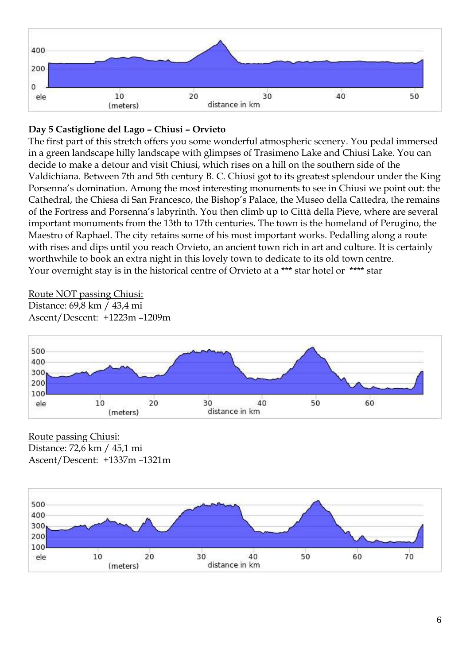

# **Day 5 Castiglione del Lago – Chiusi – Orvieto**

The first part of this stretch offers you some wonderful atmospheric scenery. You pedal immersed in a green landscape hilly landscape with glimpses of Trasimeno Lake and Chiusi Lake. You can decide to make a detour and visit Chiusi, which rises on a hill on the southern side of the Valdichiana. Between 7th and 5th century B. C. Chiusi got to its greatest splendour under the King Porsenna's domination. Among the most interesting monuments to see in Chiusi we point out: the Cathedral, the Chiesa di San Francesco, the Bishop's Palace, the Museo della Cattedra, the remains of the Fortress and Porsenna's labyrinth. You then climb up to Città della Pieve, where are several important monuments from the 13th to 17th centuries. The town is the homeland of Perugino, the Maestro of Raphael. The city retains some of his most important works. Pedalling along a route with rises and dips until you reach Orvieto, an ancient town rich in art and culture. It is certainly worthwhile to book an extra night in this lovely town to dedicate to its old town centre. Your overnight stay is in the historical centre of Orvieto at a \*\*\* star hotel or \*\*\*\* star

#### Route NOT passing Chiusi:

Distance: 69,8 km / 43,4 mi Ascent/Descent: +1223m –1209m



Route passing Chiusi: Distance: 72,6 km / 45,1 mi Ascent/Descent: +1337m –1321m

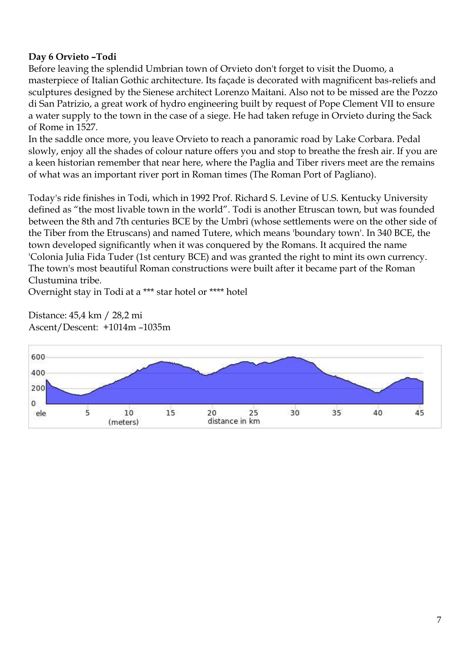# **Day 6 Orvieto –Todi**

Before leaving the splendid Umbrian town of Orvieto don't forget to visit the Duomo, a masterpiece of Italian Gothic architecture. Its façade is decorated with magnificent bas-reliefs and sculptures designed by the Sienese architect Lorenzo Maitani. Also not to be missed are the Pozzo di San Patrizio, a great work of hydro engineering built by request of Pope Clement VII to ensure a water supply to the town in the case of a siege. He had taken refuge in Orvieto during the Sack of Rome in 1527.

In the saddle once more, you leave Orvieto to reach a panoramic road by Lake Corbara. Pedal slowly, enjoy all the shades of colour nature offers you and stop to breathe the fresh air. If you are a keen historian remember that near here, where the Paglia and Tiber rivers meet are the remains of what was an important river port in Roman times (The Roman Port of Pagliano).

Today's ride finishes in Todi, which in 1992 Prof. Richard S. Levine of U.S. Kentucky University defined as "the most livable town in the world". Todi is another Etruscan town, but was founded between the 8th and 7th centuries BCE by the Umbri (whose settlements were on the other side of the Tiber from the Etruscans) and named Tutere, which means 'boundary town'. In 340 BCE, the town developed significantly when it was conquered by the Romans. It acquired the name 'Colonia Julia Fida Tuder (1st century BCE) and was granted the right to mint its own currency. The town's most beautiful Roman constructions were built after it became part of the Roman Clustumina tribe.

Overnight stay in Todi at a \*\*\* star hotel or \*\*\*\* hotel

Distance: 45,4 km / 28,2 mi Ascent/Descent: +1014m –1035m

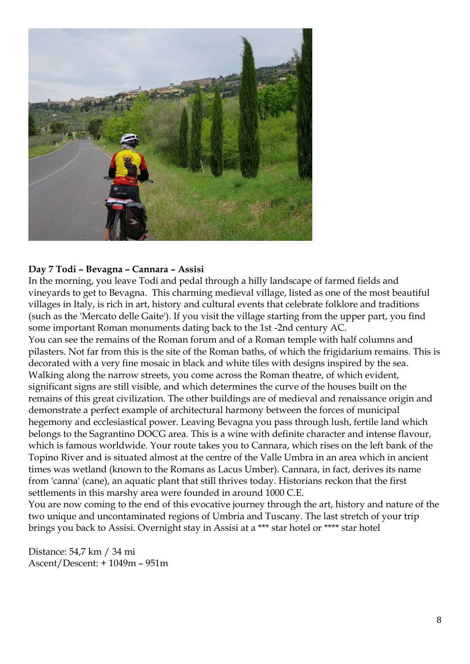

#### **Day 7 Todi – Bevagna – Cannara – Assisi**

In the morning, you leave Todi and pedal through a hilly landscape of farmed fields and vineyards to get to Bevagna. This charming medieval village, listed as one of the most beautiful villages in Italy, is rich in art, history and cultural events that celebrate folklore and traditions (such as the 'Mercato delle Gaite'). If you visit the village starting from the upper part, you find some important Roman monuments dating back to the 1st -2nd century AC. You can see the remains of the Roman forum and of a Roman temple with half columns and pilasters. Not far from this is the site of the Roman baths, of which the frigidarium remains. This is decorated with a very fine mosaic in black and white tiles with designs inspired by the sea. Walking along the narrow streets, you come across the Roman theatre, of which evident, significant signs are still visible, and which determines the curve of the houses built on the remains of this great civilization. The other buildings are of medieval and renaissance origin and demonstrate a perfect example of architectural harmony between the forces of municipal hegemony and ecclesiastical power. Leaving Bevagna you pass through lush, fertile land which belongs to the Sagrantino DOCG area. This is a wine with definite character and intense flavour, which is famous worldwide. Your route takes you to Cannara, which rises on the left bank of the Topino River and is situated almost at the centre of the Valle Umbra in an area which in ancient times was wetland (known to the Romans as Lacus Umber). Cannara, in fact, derives its name from 'canna' (cane), an aquatic plant that still thrives today. Historians reckon that the first settlements in this marshy area were founded in around 1000 C.E.

You are now coming to the end of this evocative journey through the art, history and nature of the two unique and uncontaminated regions of Umbria and Tuscany. The last stretch of your trip brings you back to Assisi. Overnight stay in Assisi at a \*\*\* star hotel or \*\*\*\* star hotel

Distance: 54,7 km / 34 mi Ascent/Descent: + 1049m – 951m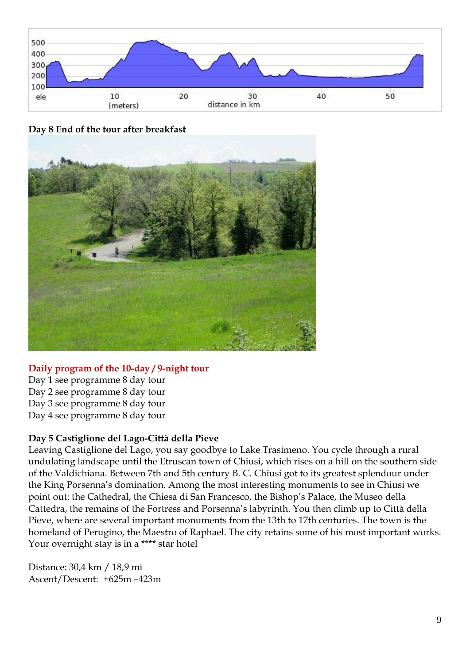

**Day 8 End of the tour after breakfast**



## **Daily program of the 10-day / 9-night tour**

Day 1 see programme 8 day tour Day 2 see programme 8 day tour Day 3 see programme 8 day tour Day 4 see programme 8 day tour

## **Day 5 Castiglione del Lago-Città della Pieve**

Leaving Castiglione del Lago, you say goodbye to Lake Trasimeno. You cycle through a rural undulating landscape until the Etruscan town of Chiusi, which rises on a hill on the southern side of the Valdichiana. Between 7th and 5th century B. C. Chiusi got to its greatest splendour under the King Porsenna's domination. Among the most interesting monuments to see in Chiusi we point out: the Cathedral, the Chiesa di San Francesco, the Bishop's Palace, the Museo della Cattedra, the remains of the Fortress and Porsenna's labyrinth. You then climb up to Città della Pieve, where are several important monuments from the 13th to 17th centuries. The town is the homeland of Perugino, the Maestro of Raphael. The city retains some of his most important works. Your overnight stay is in a \*\*\*\* star hotel

Distance: 30,4 km / 18,9 mi Ascent/Descent: +625m –423m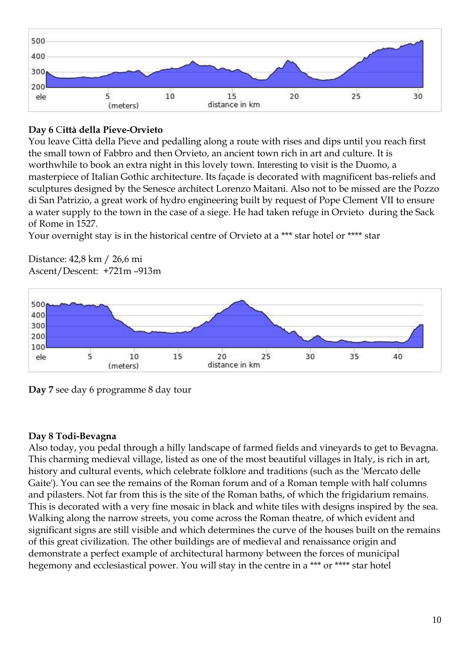

# **Day 6** C**ittà della Pieve-Orvieto**

You leave Città della Pieve and pedalling along a route with rises and dips until you reach first the small town of Fabbro and then Orvieto, an ancient town rich in art and culture. It is worthwhile to book an extra night in this lovely town. Interesting to visit is the Duomo, a masterpiece of Italian Gothic architecture. Its façade is decorated with magnificent bas-reliefs and sculptures designed by the Senesce architect Lorenzo Maitani. Also not to be missed are the Pozzo di San Patrizio, a great work of hydro engineering built by request of Pope Clement VII to ensure a water supply to the town in the case of a siege. He had taken refuge in Orvieto during the Sack of Rome in 1527.

Your overnight stay is in the historical centre of Orvieto at a \*\*\* star hotel or \*\*\*\* star



Distance: 42,8 km / 26,6 mi Ascent/Descent: +721m –913m

**Day 7** see day 6 programme 8 day tour

# **Day 8 Todi-Bevagna**

Also today, you pedal through a hilly landscape of farmed fields and vineyards to get to Bevagna. This charming medieval village, listed as one of the most beautiful villages in Italy, is rich in art, history and cultural events, which celebrate folklore and traditions (such as the 'Mercato delle Gaite'). You can see the remains of the Roman forum and of a Roman temple with half columns and pilasters. Not far from this is the site of the Roman baths, of which the frigidarium remains. This is decorated with a very fine mosaic in black and white tiles with designs inspired by the sea. Walking along the narrow streets, you come across the Roman theatre, of which evident and significant signs are still visible and which determines the curve of the houses built on the remains of this great civilization. The other buildings are of medieval and renaissance origin and demonstrate a perfect example of architectural harmony between the forces of municipal hegemony and ecclesiastical power. You will stay in the centre in a \*\*\* or \*\*\*\* star hotel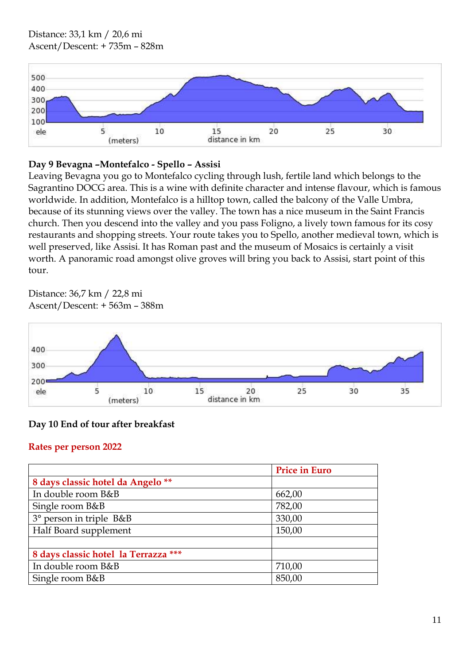

## **Day 9 Bevagna –Montefalco - Spello – Assisi**

Leaving Bevagna you go to Montefalco cycling through lush, fertile land which belongs to the Sagrantino DOCG area. This is a wine with definite character and intense flavour, which is famous worldwide. In addition, Montefalco is a hilltop town, called the balcony of the Valle Umbra, because of its stunning views over the valley. The town has a nice museum in the Saint Francis church. Then you descend into the valley and you pass Foligno, a lively town famous for its cosy restaurants and shopping streets. Your route takes you to Spello, another medieval town, which is well preserved, like Assisi. It has Roman past and the museum of Mosaics is certainly a visit worth. A panoramic road amongst olive groves will bring you back to Assisi, start point of this tour.

Distance: 36,7 km / 22,8 mi Ascent/Descent: + 563m – 388m



# **Day 10 End of tour after breakfast**

## **Rates per person 2022**

|                                      | <b>Price in Euro</b> |
|--------------------------------------|----------------------|
| 8 days classic hotel da Angelo **    |                      |
| In double room B&B                   | 662,00               |
| Single room B&B                      | 782,00               |
| 3° person in triple B&B              | 330,00               |
| Half Board supplement                | 150,00               |
|                                      |                      |
| 8 days classic hotel la Terrazza *** |                      |
| In double room B&B                   | 710,00               |
| Single room B&B                      | 850,00               |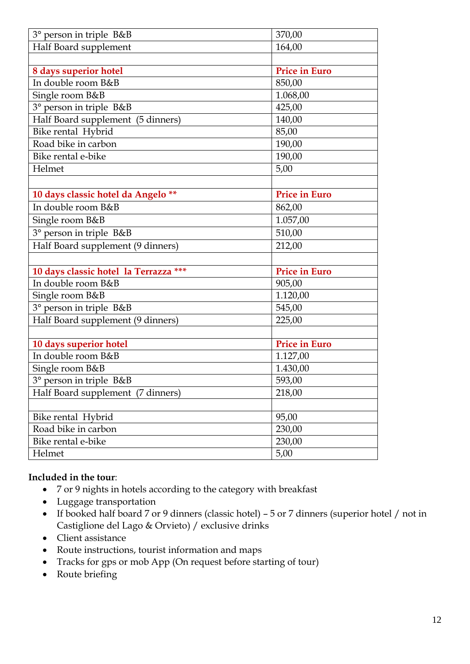| 3° person in triple B&B               | 370,00               |
|---------------------------------------|----------------------|
| Half Board supplement                 | 164,00               |
|                                       |                      |
| 8 days superior hotel                 | <b>Price in Euro</b> |
| In double room B&B                    | 850,00               |
| Single room B&B                       | 1.068,00             |
| 3° person in triple B&B               | 425,00               |
| Half Board supplement (5 dinners)     | 140,00               |
| Bike rental Hybrid                    | 85,00                |
| Road bike in carbon                   | 190,00               |
| Bike rental e-bike                    | 190,00               |
| Helmet                                | 5,00                 |
|                                       |                      |
| 10 days classic hotel da Angelo **    | <b>Price in Euro</b> |
| In double room B&B                    | 862,00               |
| Single room B&B                       | 1.057,00             |
| 3° person in triple B&B               | 510,00               |
| Half Board supplement (9 dinners)     | 212,00               |
|                                       |                      |
| 10 days classic hotel la Terrazza *** | <b>Price in Euro</b> |
| In double room B&B                    | 905,00               |
| Single room B&B                       | 1.120,00             |
| 3° person in triple B&B               | 545,00               |
| Half Board supplement (9 dinners)     | 225,00               |
|                                       |                      |
| 10 days superior hotel                | <b>Price in Euro</b> |
| In double room B&B                    | 1.127,00             |
| Single room B&B                       | 1.430,00             |
| 3° person in triple B&B               | 593,00               |
| Half Board supplement (7 dinners)     | 218,00               |
|                                       |                      |
| Bike rental Hybrid                    | 95,00                |
| Road bike in carbon                   | 230,00               |
| Bike rental e-bike                    | 230,00               |
| Helmet                                | 5,00                 |

## **Included in the tour**:

- 7 or 9 nights in hotels according to the category with breakfast
- Luggage transportation
- If booked half board 7 or 9 dinners (classic hotel) 5 or 7 dinners (superior hotel / not in Castiglione del Lago & Orvieto) / exclusive drinks
- Client assistance
- Route instructions, tourist information and maps
- Tracks for gps or mob App (On request before starting of tour)
- Route briefing